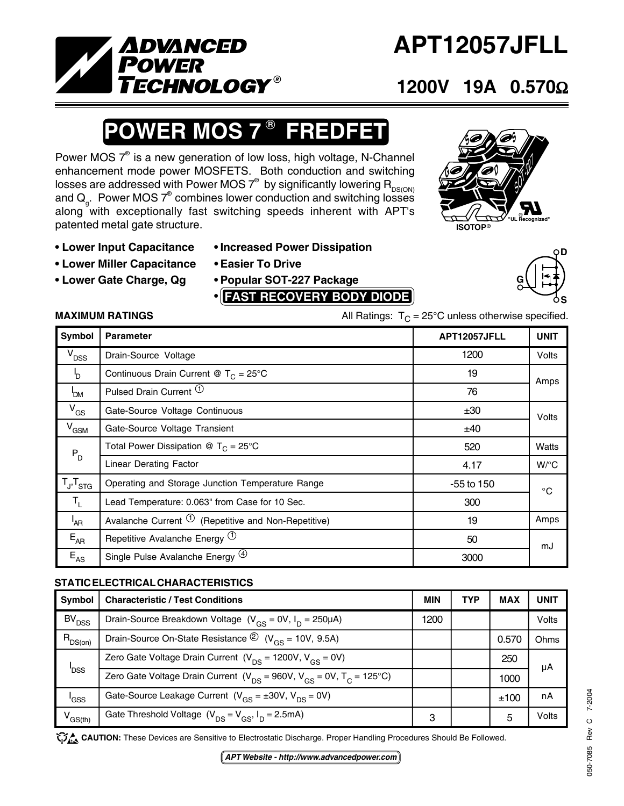

# **APT12057JFLL**

# **1200V 19A 0.570**Ω

## **OWER MOS 7<sup>®</sup> FREDFET**

Power MOS  $7^\circ$  is a new generation of low loss, high voltage, N-Channel enhancement mode power MOSFETS. Both conduction and switching losses are addressed with Power MOS  $7^\circ$  by significantly lowering  $\mathsf{R}_{\mathsf{DS(ON)}}$ and  $\mathsf{Q}_{_{\mathsf{G}}}$ . Power MOS  $7^{\circ}$  combines lower conduction and switching losses along with exceptionally fast switching speeds inherent with APT's patented metal gate structure.

SOT-22 **GSSDISOTOP**® **"UL Recognized"**

- 
- **Lower Miller Capacitance Easier To Drive**
- **Lower Gate Charge, Qg Popular SOT-227 Package**
- **Lower Input Capacitance Increased Power Dissipation**
	-
	- **• FAST RECOVERY BODY DIODE**





**MAXIMUM RATINGS** MAXIMUM RATINGS All Ratings:  $T_c = 25^\circ \text{C}$  unless otherwise specified.

| Symbol                                                      | <b>Parameter</b>                                                 | APT12057JFLL | <b>UNIT</b>  |
|-------------------------------------------------------------|------------------------------------------------------------------|--------------|--------------|
| $V_{DSS}$                                                   | Drain-Source Voltage                                             | 1200         | <b>Volts</b> |
| 'n                                                          | Continuous Drain Current @ $T_c = 25^{\circ}$ C                  | 19           | Amps         |
| 'DM                                                         | Pulsed Drain Current <sup>1</sup>                                | 76           |              |
| $V_{GS}$                                                    | Gate-Source Voltage Continuous                                   | ±30          | Volts        |
| $V_{GSM}$                                                   | Gate-Source Voltage Transient                                    | ±40          |              |
| $P_D$                                                       | Total Power Dissipation @ $T_c = 25^{\circ}$ C                   | 520          | Watts        |
|                                                             | <b>Linear Derating Factor</b>                                    | 4.17         | $W$ /°C      |
| $\mathsf{T}_{\mathsf{J}^{\prime}}\mathsf{T}_{\mathsf{STG}}$ | Operating and Storage Junction Temperature Range                 | -55 to 150   | $^{\circ}$ C |
| $T_{\rm L}$                                                 | Lead Temperature: 0.063" from Case for 10 Sec.                   | 300          |              |
| <sup>'</sup> AR                                             | Avalanche Current $\overline{O}$ (Repetitive and Non-Repetitive) | 19           | Amps         |
| $E_{AR}$                                                    | Repetitive Avalanche Energy $(1)$                                | 50           | mJ           |
| $E_{AS}$                                                    | Single Pulse Avalanche Energy <sup>(4)</sup>                     | 3000         |              |

### **STATIC ELECTRICAL CHARACTERISTICS**

| Symbol              | <b>Characteristic / Test Conditions</b>                                               | MIN  | <b>TYP</b> | <b>MAX</b> | <b>UNIT</b> |
|---------------------|---------------------------------------------------------------------------------------|------|------------|------------|-------------|
| BV <sub>DSS</sub>   | Drain-Source Breakdown Voltage $(V_{\text{GS}} = 0V, I_{\text{D}} = 250 \mu\text{A})$ | 1200 |            |            | Volts       |
| $R_{DS(on)}$        | Drain-Source On-State Resistance $\textcircled{2}$ (V <sub>ns</sub> = 10V, 9.5A)      |      |            | 0.570      | Ohms        |
| <b>DSS</b>          | Zero Gate Voltage Drain Current $(V_{DS} = 1200V, V_{GS} = 0V)$                       |      |            | 250        | μA          |
|                     | Zero Gate Voltage Drain Current ( $V_{DS}$ = 960V, $V_{GS}$ = 0V, $T_{C}$ = 125°C)    |      |            | 1000       |             |
| 'GSS                | Gate-Source Leakage Current $(V_{GS} = \pm 30V, V_{DS} = 0V)$                         |      |            | ±100       | nA          |
| V <sub>GS(th)</sub> | Gate Threshold Voltage $(V_{DS} = V_{GS}, I_D = 2.5 \text{mA})$                       | З    |            | 5          | Volts       |

CAUTION: These Devices are Sensitive to Electrostatic Discharge. Proper Handling Procedures Should Be Followed.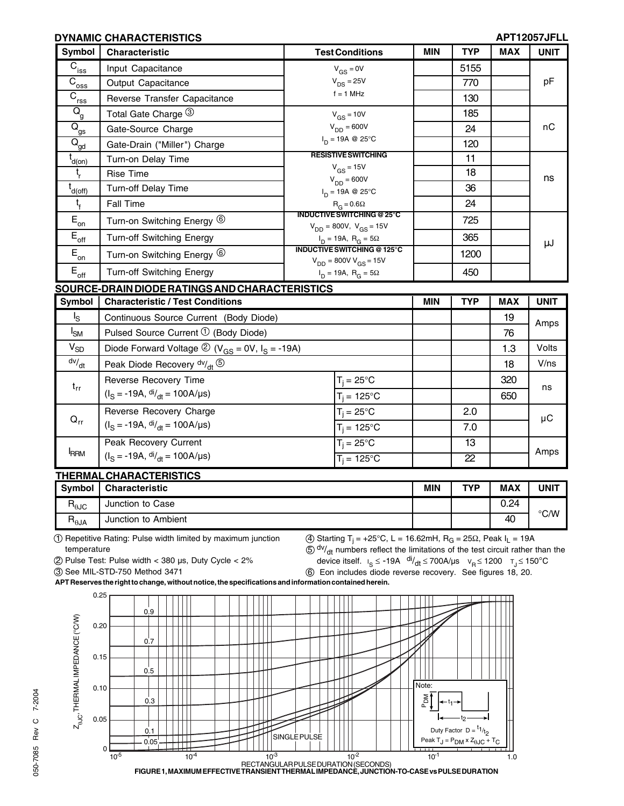#### **DYNAMIC CHARACTERISTICS APT12057JFLL**

V/ns

18

ns

µC

| Symbol                             | <b>Characteristic</b>                                                                 | <b>Test Conditions</b>                                                      | <b>MIN</b> | <b>TYP</b> | <b>MAX</b> | <b>UNIT</b> |
|------------------------------------|---------------------------------------------------------------------------------------|-----------------------------------------------------------------------------|------------|------------|------------|-------------|
| $\mathsf{\bar{C}_{_{\text{iss}}}}$ | Input Capacitance                                                                     | $V_{GS} = 0V$                                                               |            | 5155       |            |             |
| $\overline{C}_{\underline{oss}}$   | Output Capacitance                                                                    | $V_{DS} = 25V$                                                              |            | 770        |            | pF          |
| $\overline{C}_{\text{rss}}$        | Reverse Transfer Capacitance                                                          | $f = 1$ MHz                                                                 |            | 130        |            |             |
| $Q_{g}$                            | Total Gate Charge 3                                                                   | $V_{GS}$ = 10V                                                              |            | 185        |            |             |
| $Q_{\underline{\mathsf{gs}}}$      | Gate-Source Charge                                                                    | $V_{DD} = 600V$                                                             |            | 24         |            | пC          |
| $\overline{Q}_{\underline{gd}}$    | Gate-Drain ("Miller") Charge                                                          | $I_D = 19A \otimes 25^{\circ}C$                                             |            | 120        |            |             |
| $t_{d(on)}$                        | Turn-on Delay Time                                                                    | <b>RESISTIVE SWITCHING</b>                                                  |            | 11         |            |             |
| t.                                 | Rise Time                                                                             | $V_{GS}$ = 15V<br>$V_{DD} = 600V$                                           |            | 18         |            | ns          |
| $t_{d(\underline{off})}$           | Turn-off Delay Time                                                                   | $I_D = 19A \otimes 25^{\circ}C$                                             |            | 36         |            |             |
| $t_{\rm f}$                        | Fall Time                                                                             | $R_G = 0.6\Omega$                                                           |            | 24         |            |             |
| $E_{\rm on}$                       | Turn-on Switching Energy 6                                                            | <b>INDUCTIVE SWITCHING @ 25°C</b><br>$V_{DD} = 800V$ , $V_{GS} = 15V$       |            | 725        |            |             |
| $\mathsf{E}_{\mathsf{off}}$        | <b>Turn-off Switching Energy</b>                                                      | $I_{\text{D}} = 19A, R_{\text{G}} = 5\Omega$                                |            | 365        |            | μJ          |
| $E_{_{\text{on}}}$                 | Turn-on Switching Energy 6                                                            | <b>INDUCTIVE SWITCHING @ 125°C</b><br>$V_{DD}$ = 800V V <sub>GS</sub> = 15V |            | 1200       |            |             |
| $E_{\rm off}$                      | Turn-off Switching Energy                                                             | $I_D = 19A$ , $R_G = 5\Omega$                                               |            | 450        |            |             |
|                                    | <u>SOURCE-DRAIN DIODE RATINGS AND CHARACTERISTICS</u>                                 |                                                                             |            |            |            |             |
| Symbol                             | <b>Characteristic / Test Conditions</b>                                               |                                                                             | <b>MIN</b> | <b>TYP</b> | <b>MAX</b> | <b>UNIT</b> |
| Ιs                                 | Continuous Source Current (Body Diode)                                                |                                                                             |            |            | 19         | Amps        |
| $I_{SM}$                           | Pulsed Source Current $\mathcal{D}$ (Body Diode)                                      |                                                                             |            |            | 76         |             |
| $V_{SD}$                           | Diode Forward Voltage $\textcircled{2}$ (V <sub>GS</sub> = 0V, I <sub>S</sub> = -19A) |                                                                             |            |            | 1.3        | Volts       |

| <b>FRRM</b>    | Peak Recovery Current<br>$(IS = -19A, \frac{di}{dt} = 100A/\mu s)$ | $T_i = 25^{\circ}C$<br>$T_i = 125^{\circ}C$ |            | 13<br>22   |            | Amps          |
|----------------|--------------------------------------------------------------------|---------------------------------------------|------------|------------|------------|---------------|
|                | <b>THERMAL CHARACTERISTICS</b>                                     |                                             |            |            |            |               |
|                |                                                                    |                                             |            |            |            |               |
| Symbol         | <b>Characteristic</b>                                              |                                             | <b>MIN</b> | <b>TYP</b> | <b>MAX</b> | UNIT          |
| $R_{\theta$ JC | Junction to Case                                                   |                                             |            |            | 0.24       | $\degree$ C/W |

1 Repetitive Rating: Pulse width limited by maximum junction temperature

Peak Diode Recovery  $dv/dt$   $\circledS$ Reverse Recovery Time  $(I_S = -19A, \frac{di}{dt} = 100A/\mu s)$ Reverse Recovery Charge  $(I_S = -19A, \frac{di}{dt} = 100A/\mu s)$ 

> $(4)$  Starting T<sub>i</sub> = +25°C, L = 16.62mH, R<sub>G</sub> = 25Ω, Peak I<sub>L</sub> = 19A  $(5)$  dv/<sub>dt</sub> numbers reflect the limitations of the test circuit rather than the

2 Pulse Test: Pulse width < 380 µs, Duty Cycle < 2%

3 See MIL-STD-750 Method 3471

dv/dt

t<sub>rr</sub>

 $Q_{rr}$ 

device itself.  $I_S \le -19A \frac{di}{dt} \le 700A/\mu s$   $V_R \le 1200$   $T_J \le 150^{\circ}C$ 6 Eon includes diode reverse recovery. See figures 18, 20.

 $T_i = 25^{\circ}C$  | | | 320  $T_i = 125^{\circ}C$   $\qquad \qquad$  | 650

 $T_i = 25^{\circ}C$  2.0  $T_i = 125^{\circ}C$  7.0

**APT Reserves the right to change, without notice, the specifications and information contained herein.**

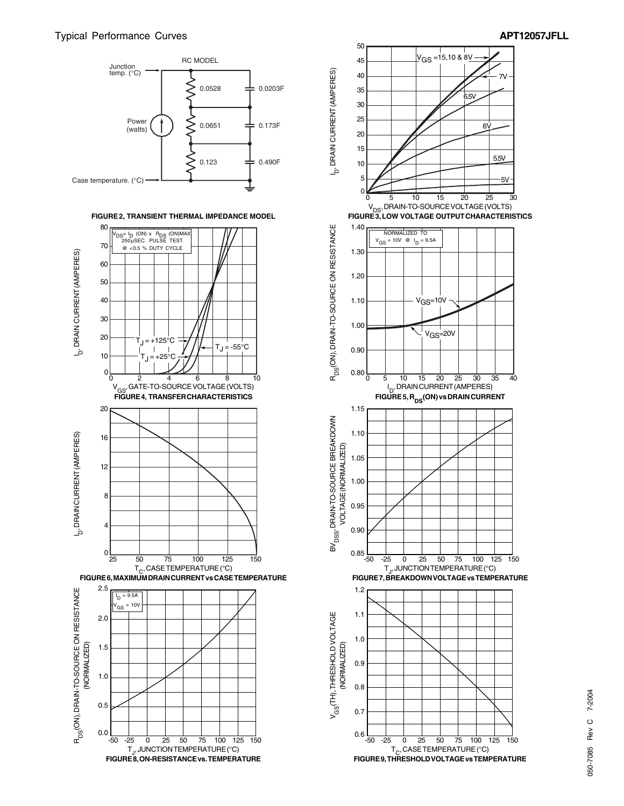



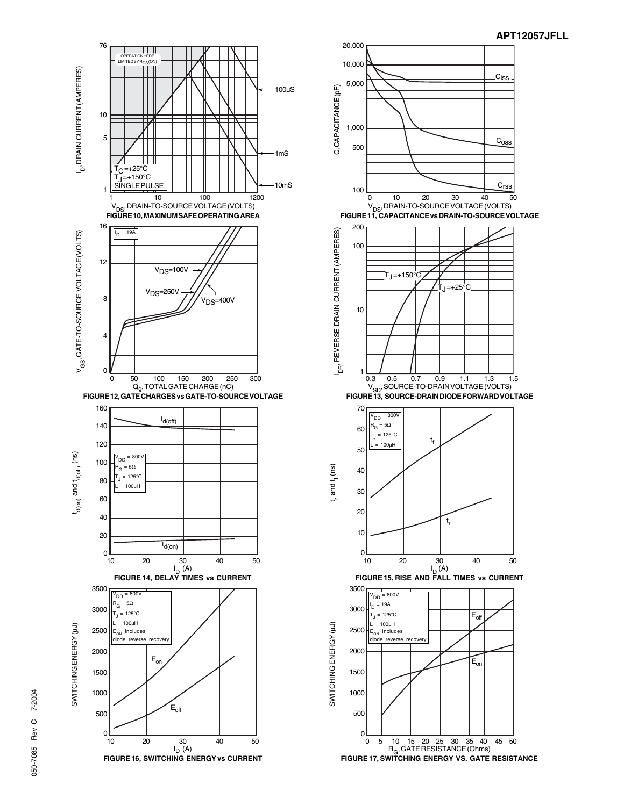